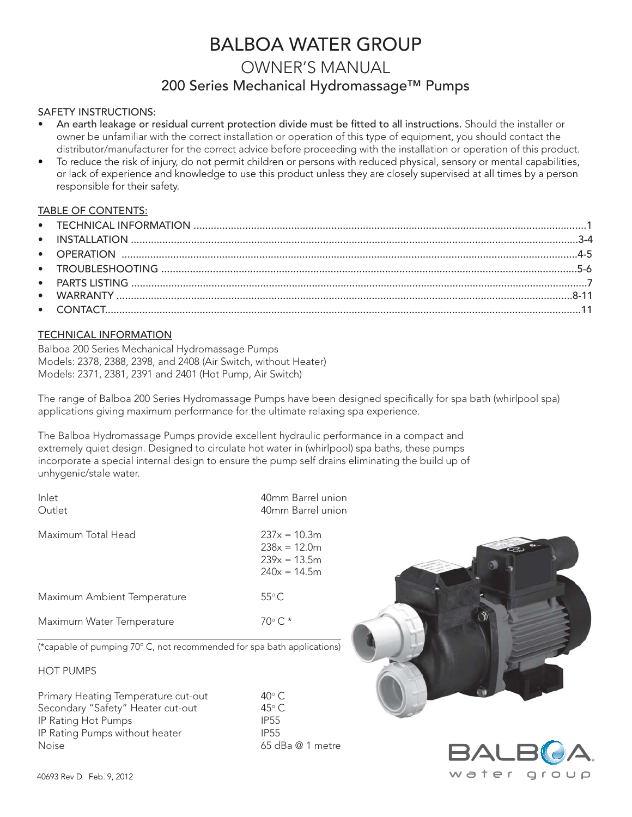# BALBOA WATER GROUP

# OWNER'S MANUAL 200 Series Mechanical Hydromassage™ Pumps

### SAFETY INSTRUCTIONS:

- An earth leakage or residual current protection divide must be fitted to all instructions. Should the installer or owner be unfamiliar with the correct installation or operation of this type of equipment, you should contact the distributor/manufacturer for the correct advice before proceeding with the installation or operation of this product.
- To reduce the risk of injury, do not permit children or persons with reduced physical, sensory or mental capabilities, or lack of experience and knowledge to use this product unless they are closely supervised at all times by a person responsible for their safety.

### TABLE OF CONTENTS:

### TECHNICAL INFORMATION

Balboa 200 Series Mechanical Hydromassage Pumps Models: 2378, 2388, 2398, and 2408 (Air Switch, without Heater) Models: 2371, 2381, 2391 and 2401 (Hot Pump, Air Switch)

The range of Balboa 200 Series Hydromassage Pumps have been designed specifically for spa bath (whirlpool spa) applications giving maximum performance for the ultimate relaxing spa experience.

The Balboa Hydromassage Pumps provide excellent hydraulic performance in a compact and extremely quiet design. Designed to circulate hot water in (whirlpool) spa baths, these pumps incorporate a special internal design to ensure the pump self drains eliminating the build up of unhygenic/stale water.

| Inlet<br>Outlet                                                        | 40mm Barrel union<br>40mm Barrel union                               |  |
|------------------------------------------------------------------------|----------------------------------------------------------------------|--|
| Maximum Total Head                                                     | $237x = 10.3m$<br>$238x = 12.0m$<br>$239x = 13.5m$<br>$240x = 14.5m$ |  |
| Maximum Ambient Temperature                                            | $55^{\circ}$ C                                                       |  |
| Maximum Water Temperature                                              | $70^{\circ}$ C. *                                                    |  |
| (*capable of pumping 70° C, not recommended for spa bath applications) |                                                                      |  |

### HOT PUMPS

Primary Heating Temperature cut-out  $40^{\circ}$  C<br>Secondary "Safety" Heater cut-out  $45^{\circ}$  C Secondary "Safety" Heater cut-out 45° C<br>1955 - IP Rating Hot Pumps IP Rating Hot Pumps<br>IP Rating Pumps without heater **IP55** IP Rating Pumps without heater Noise 65 dBa @ 1 metre



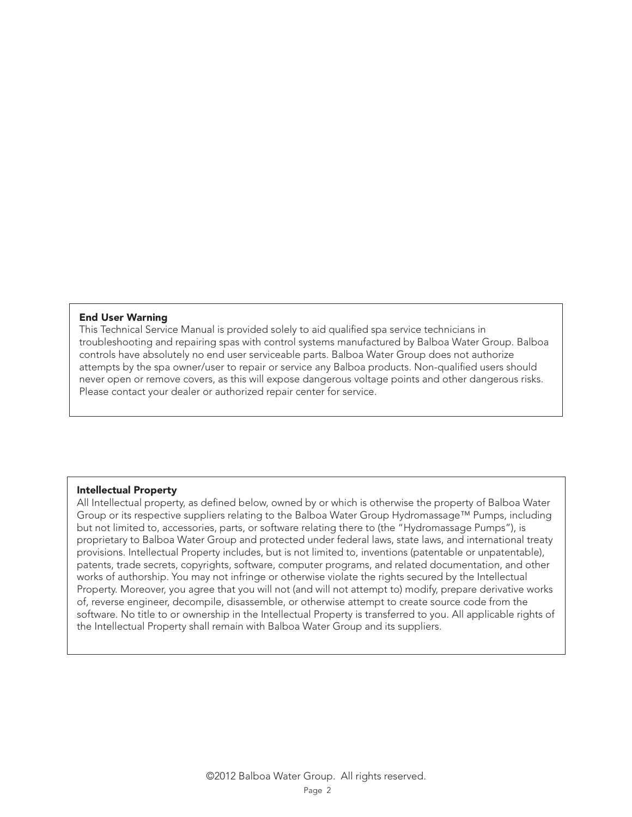### **End User Warning**

This Technical Service Manual is provided solely to aid qualified spa service technicians in troubleshooting and repairing spas with control systems manufactured by Balboa Water Group. Balboa controls have absolutely no end user serviceable parts. Balboa Water Group does not authorize attempts by the spa owner/user to repair or service any Balboa products. Non-qualified users should never open or remove covers, as this will expose dangerous voltage points and other dangerous risks. Please contact your dealer or authorized repair center for service.

### **Intellectual Property**

All Intellectual property, as defined below, owned by or which is otherwise the property of Balboa Water Group or its respective suppliers relating to the Balboa Water Group Hydromassage™ Pumps, including but not limited to, accessories, parts, or software relating there to (the "Hydromassage Pumps"), is proprietary to Balboa Water Group and protected under federal laws, state laws, and international treaty provisions. Intellectual Property includes, but is not limited to, inventions (patentable or unpatentable), patents, trade secrets, copyrights, software, computer programs, and related documentation, and other works of authorship. You may not infringe or otherwise violate the rights secured by the Intellectual Property. Moreover, you agree that you will not (and will not attempt to) modify, prepare derivative works of, reverse engineer, decompile, disassemble, or otherwise attempt to create source code from the software. No title to or ownership in the Intellectual Property is transferred to you. All applicable rights of the Intellectual Property shall remain with Balboa Water Group and its suppliers.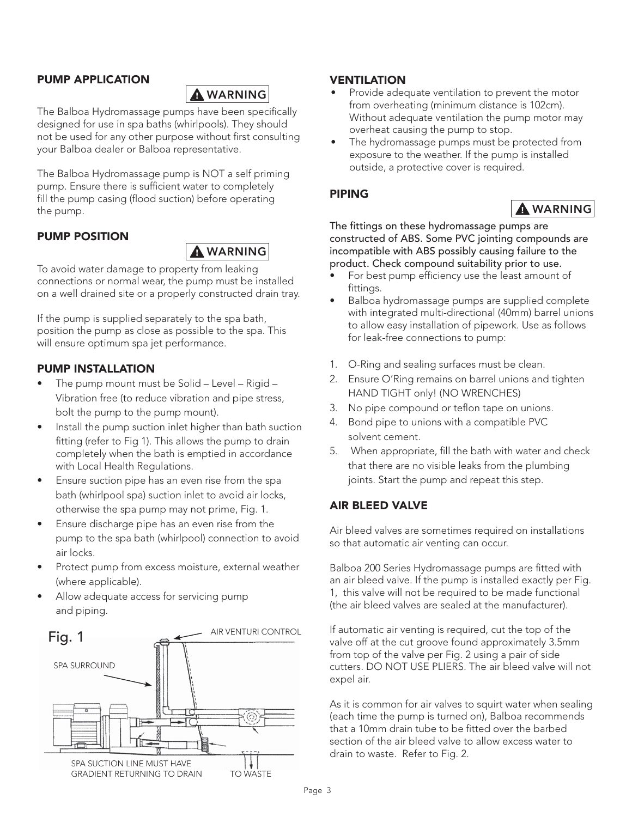## **PUMP APPLICATION**



 **WARNING** The Balboa Hydromassage pumps have been specifically designed for use in spa baths (whirlpools). They should not be used for any other purpose without first consulting your Balboa dealer or Balboa representative.

The Balboa Hydromassage pump is NOT a self priming pump. Ensure there is sufficient water to completely fill the pump casing (flood suction) before operating the pump.

## **PUMP POSITION**



 **WARNING** To avoid water damage to property from leaking connections or normal wear, the pump must be installed on a well drained site or a properly constructed drain tray.

If the pump is supplied separately to the spa bath, position the pump as close as possible to the spa. This will ensure optimum spa jet performance.

## **PUMP INSTALLATION**

- The pump mount must be Solid Level Rigid Vibration free (to reduce vibration and pipe stress, bolt the pump to the pump mount).
- Install the pump suction inlet higher than bath suction fitting (refer to Fig 1). This allows the pump to drain completely when the bath is emptied in accordance with Local Health Regulations.
- Ensure suction pipe has an even rise from the spa bath (whirlpool spa) suction inlet to avoid air locks, otherwise the spa pump may not prime, Fig. 1.
- Ensure discharge pipe has an even rise from the pump to the spa bath (whirlpool) connection to avoid air locks.
- Protect pump from excess moisture, external weather (where applicable).
- Allow adequate access for servicing pump and piping.



## **VENTILATION**

- Provide adequate ventilation to prevent the motor from overheating (minimum distance is 102cm). Without adequate ventilation the pump motor may overheat causing the pump to stop.
- The hydromassage pumps must be protected from exposure to the weather. If the pump is installed outside, a protective cover is required.

## **PIPING**



<u>Warning</u> The fittings on these hydromassage pumps are constructed of ABS. Some PVC jointing compounds are incompatible with ABS possibly causing failure to the product. Check compound suitability prior to use.

- For best pump efficiency use the least amount of fittings.
- Balboa hydromassage pumps are supplied complete with integrated multi-directional (40mm) barrel unions to allow easy installation of pipework. Use as follows for leak-free connections to pump:
- 1. O-Ring and sealing surfaces must be clean.
- 2. Ensure O'Ring remains on barrel unions and tighten HAND TIGHT only! (NO WRENCHES)
- 3. No pipe compound or teflon tape on unions.
- 4. Bond pipe to unions with a compatible PVC solvent cement.
- 5. When appropriate, fill the bath with water and check that there are no visible leaks from the plumbing joints. Start the pump and repeat this step.

## **AIR BLEED VALVE**

Air bleed valves are sometimes required on installations so that automatic air venting can occur.

Balboa 200 Series Hydromassage pumps are fitted with an air bleed valve. If the pump is installed exactly per Fig. 1, this valve will not be required to be made functional (the air bleed valves are sealed at the manufacturer).

If automatic air venting is required, cut the top of the valve off at the cut groove found approximately 3.5mm from top of the valve per Fig. 2 using a pair of side cutters. DO NOT USE PLIERS. The air bleed valve will not expel air.

As it is common for air valves to squirt water when sealing (each time the pump is turned on), Balboa recommends that a 10mm drain tube to be fitted over the barbed section of the air bleed valve to allow excess water to drain to waste. Refer to Fig. 2.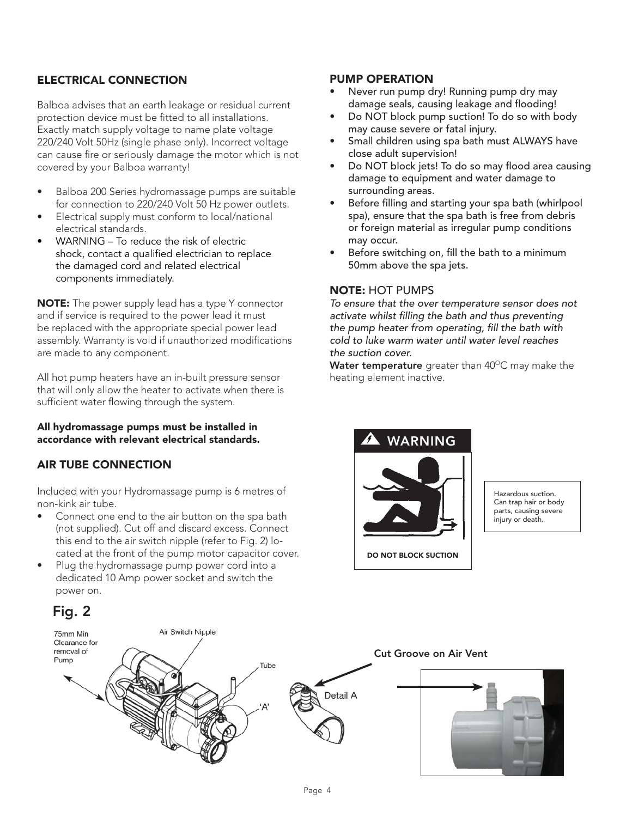## **ELECTRICAL CONNECTION**

Balboa advises that an earth leakage or residual current protection device must be fitted to all installations. Exactly match supply voltage to name plate voltage 220/240 Volt 50Hz (single phase only). Incorrect voltage can cause fire or seriously damage the motor which is not covered by your Balboa warranty!

- Balboa 200 Series hydromassage pumps are suitable for connection to 220/240 Volt 50 Hz power outlets.
- Electrical supply must conform to local/national electrical standards.
- $WARNING To reduce the risk of electric$ shock, contact a qualified electrician to replace the damaged cord and related electrical components immediately.

**NOTE:** The power supply lead has a type Y connector and if service is required to the power lead it must be replaced with the appropriate special power lead assembly. Warranty is void if unauthorized modifications are made to any component.

All hot pump heaters have an in-built pressure sensor that will only allow the heater to activate when there is sufficient water flowing through the system.

### **All hydromassage pumps must be installed in accordance with relevant electrical standards.**

## **AIR TUBE CONNECTION**

Included with your Hydromassage pump is 6 metres of non-kink air tube.

- Connect one end to the air button on the spa bath (not supplied). Cut off and discard excess. Connect this end to the air switch nipple (refer to Fig. 2) located at the front of the pump motor capacitor cover.
- Plug the hydromassage pump power cord into a dedicated 10 Amp power socket and switch the power on.

# **Fig. 2** Air Switch Nipple Clearance for removal of Cut Groove on Air Vent Pump **Cut Groove on Air Vent**Tube Detail A

## **PUMP OPERATION**

- Never run pump dry! Running pump dry may damage seals, causing leakage and flooding!
- Do NOT block pump suction! To do so with body may cause severe or fatal injury.
- Small children using spa bath must ALWAYS have close adult supervision!
- Do NOT block jets! To do so may flood area causing damage to equipment and water damage to surrounding areas.
- Before filling and starting your spa bath (whirlpool spa), ensure that the spa bath is free from debris or foreign material as irregular pump conditions may occur.
- Before switching on, fill the bath to a minimum 50mm above the spa jets.

## **NOTE:** HOT PUMPS

To ensure that the over temperature sensor does not activate whilst filling the bath and thus preventing the pump heater from operating, fill the bath with cold to luke warm water until water level reaches the suction cover.

Water temperature greater than 40°C may make the heating element inactive.



Hazardous suction. Can trap hair or body parts, causing severe injury or death.

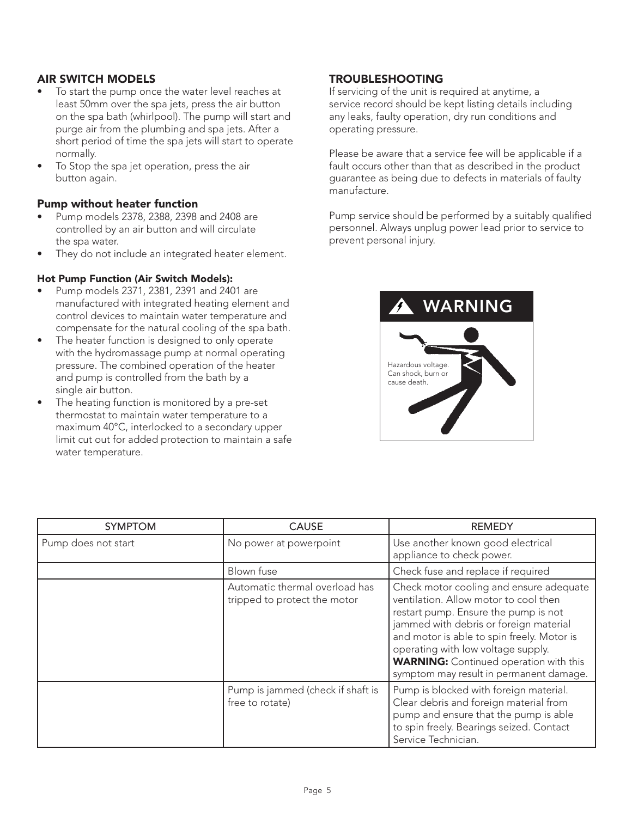## **AIR SWITCH MODELS**

- To start the pump once the water level reaches at least 50mm over the spa jets, press the air button on the spa bath (whirlpool). The pump will start and purge air from the plumbing and spa jets. After a short period of time the spa jets will start to operate normally.
- To Stop the spa jet operation, press the air button again.

### **Pump without heater function**

- Pump models 2378, 2388, 2398 and 2408 are controlled by an air button and will circulate the spa water.
- They do not include an integrated heater element.

### **Hot Pump Function (Air Switch Models):**

- Pump models 2371, 2381, 2391 and 2401 are manufactured with integrated heating element and control devices to maintain water temperature and compensate for the natural cooling of the spa bath.
- The heater function is designed to only operate with the hydromassage pump at normal operating pressure. The combined operation of the heater and pump is controlled from the bath by a single air button.
- The heating function is monitored by a pre-set thermostat to maintain water temperature to a maximum 40°C, interlocked to a secondary upper limit cut out for added protection to maintain a safe water temperature.

## **TROUBLESHOOTING**

If servicing of the unit is required at anytime, a service record should be kept listing details including any leaks, faulty operation, dry run conditions and operating pressure.

Please be aware that a service fee will be applicable if a fault occurs other than that as described in the product guarantee as being due to defects in materials of faulty manufacture.

Pump service should be performed by a suitably qualified personnel. Always unplug power lead prior to service to prevent personal injury.



| <b>SYMPTOM</b>      | <b>CAUSE</b>                                                   | <b>REMEDY</b>                                                                                                                                                                                                                                                                                                                                      |
|---------------------|----------------------------------------------------------------|----------------------------------------------------------------------------------------------------------------------------------------------------------------------------------------------------------------------------------------------------------------------------------------------------------------------------------------------------|
| Pump does not start | No power at powerpoint                                         | Use another known good electrical<br>appliance to check power.                                                                                                                                                                                                                                                                                     |
|                     | Blown fuse                                                     | Check fuse and replace if required                                                                                                                                                                                                                                                                                                                 |
|                     | Automatic thermal overload has<br>tripped to protect the motor | Check motor cooling and ensure adequate<br>ventilation. Allow motor to cool then<br>restart pump. Ensure the pump is not<br>jammed with debris or foreign material<br>and motor is able to spin freely. Motor is<br>operating with low voltage supply.<br><b>WARNING:</b> Continued operation with this<br>symptom may result in permanent damage. |
|                     | Pump is jammed (check if shaft is<br>free to rotate)           | Pump is blocked with foreign material.<br>Clear debris and foreign material from<br>pump and ensure that the pump is able<br>to spin freely. Bearings seized. Contact<br>Service Technician.                                                                                                                                                       |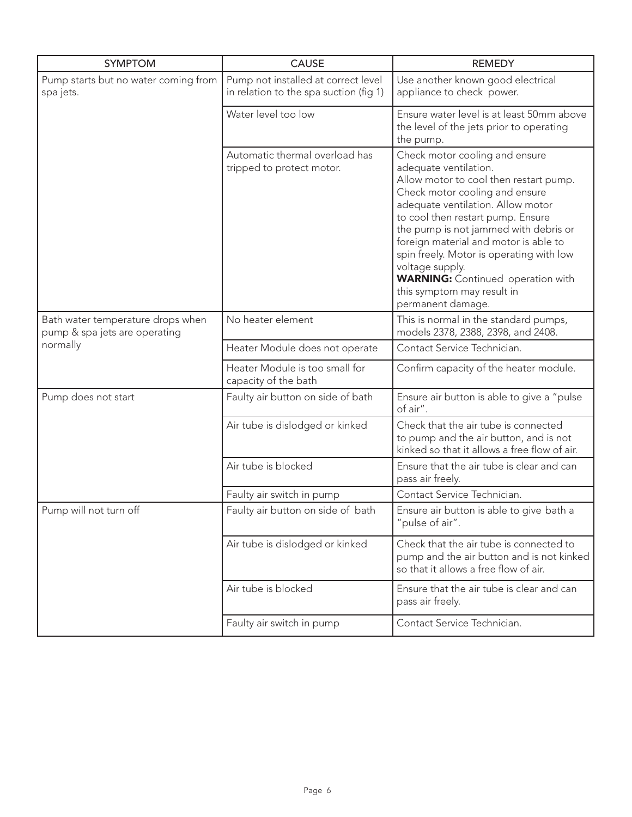| <b>SYMPTOM</b>                                                     | <b>CAUSE</b>                                                                  | <b>REMEDY</b>                                                                                                                                                                                                                                                                                                                                                                                                                                                 |
|--------------------------------------------------------------------|-------------------------------------------------------------------------------|---------------------------------------------------------------------------------------------------------------------------------------------------------------------------------------------------------------------------------------------------------------------------------------------------------------------------------------------------------------------------------------------------------------------------------------------------------------|
| Pump starts but no water coming from<br>spa jets.                  | Pump not installed at correct level<br>in relation to the spa suction (fig 1) | Use another known good electrical<br>appliance to check power.                                                                                                                                                                                                                                                                                                                                                                                                |
|                                                                    | Water level too low                                                           | Ensure water level is at least 50mm above<br>the level of the jets prior to operating<br>the pump.                                                                                                                                                                                                                                                                                                                                                            |
|                                                                    | Automatic thermal overload has<br>tripped to protect motor.                   | Check motor cooling and ensure<br>adequate ventilation.<br>Allow motor to cool then restart pump.<br>Check motor cooling and ensure<br>adequate ventilation. Allow motor<br>to cool then restart pump. Ensure<br>the pump is not jammed with debris or<br>foreign material and motor is able to<br>spin freely. Motor is operating with low<br>voltage supply.<br><b>WARNING:</b> Continued operation with<br>this symptom may result in<br>permanent damage. |
| Bath water temperature drops when<br>pump & spa jets are operating | No heater element                                                             | This is normal in the standard pumps,<br>models 2378, 2388, 2398, and 2408.                                                                                                                                                                                                                                                                                                                                                                                   |
| normally                                                           | Heater Module does not operate                                                | Contact Service Technician.                                                                                                                                                                                                                                                                                                                                                                                                                                   |
|                                                                    | Heater Module is too small for<br>capacity of the bath                        | Confirm capacity of the heater module.                                                                                                                                                                                                                                                                                                                                                                                                                        |
| Pump does not start                                                | Faulty air button on side of bath                                             | Ensure air button is able to give a "pulse<br>of air".                                                                                                                                                                                                                                                                                                                                                                                                        |
|                                                                    | Air tube is dislodged or kinked                                               | Check that the air tube is connected<br>to pump and the air button, and is not<br>kinked so that it allows a free flow of air.                                                                                                                                                                                                                                                                                                                                |
|                                                                    | Air tube is blocked                                                           | Ensure that the air tube is clear and can<br>pass air freely.                                                                                                                                                                                                                                                                                                                                                                                                 |
|                                                                    | Faulty air switch in pump                                                     | Contact Service Technician.                                                                                                                                                                                                                                                                                                                                                                                                                                   |
| Pump will not turn off                                             | Faulty air button on side of bath                                             | Ensure air button is able to give bath a<br>"pulse of air".                                                                                                                                                                                                                                                                                                                                                                                                   |
|                                                                    | Air tube is dislodged or kinked                                               | Check that the air tube is connected to<br>pump and the air button and is not kinked<br>so that it allows a free flow of air.                                                                                                                                                                                                                                                                                                                                 |
|                                                                    | Air tube is blocked                                                           | Ensure that the air tube is clear and can<br>pass air freely.                                                                                                                                                                                                                                                                                                                                                                                                 |
|                                                                    | Faulty air switch in pump                                                     | Contact Service Technician.                                                                                                                                                                                                                                                                                                                                                                                                                                   |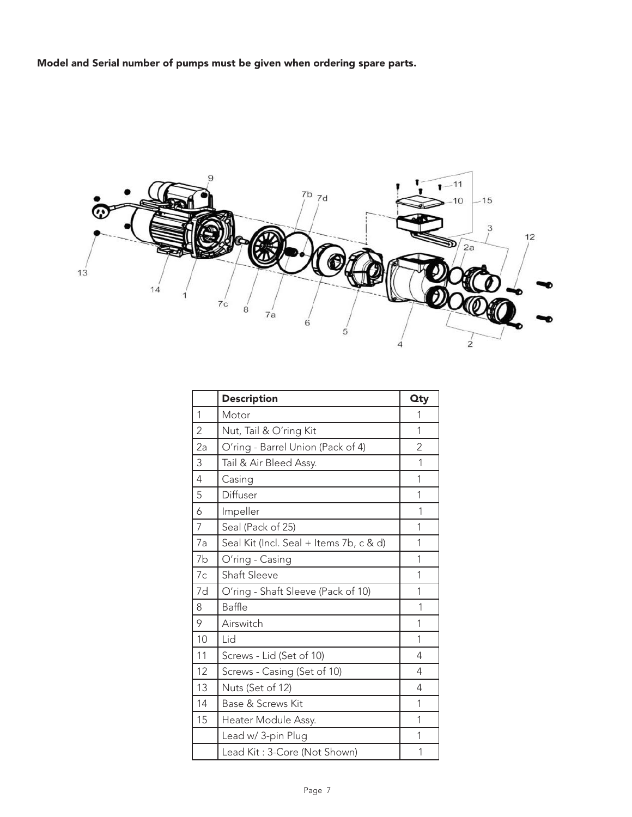**Model and Serial number of pumps must be given when ordering spare parts.**



|                | <b>Description</b>                      | <b>Qty</b> |
|----------------|-----------------------------------------|------------|
| 1              | Motor                                   | 1          |
| 2              | Nut, Tail & O'ring Kit                  | 1          |
| 2a             | O'ring - Barrel Union (Pack of 4)       | 2          |
| 3              | Tail & Air Bleed Assy.                  | 1          |
| $\overline{4}$ | Casing                                  | 1          |
| 5              | Diffuser                                | 1          |
| 6              | Impeller                                | 1          |
| $\overline{7}$ | Seal (Pack of 25)                       | 1          |
| 7a             | Seal Kit (Incl. Seal + Items 7b, c & d) | 1          |
| 7b             | O'ring - Casing                         | 1          |
| 7c             | <b>Shaft Sleeve</b>                     | 1          |
| 7d             | O'ring - Shaft Sleeve (Pack of 10)      | 1          |
| 8              | Baffle                                  | 1          |
| 9              | Airswitch                               | 1          |
| 10             | Lid                                     | 1          |
| 11             | Screws - Lid (Set of 10)                | 4          |
| 12             | Screws - Casing (Set of 10)             | 4          |
| 13             | Nuts (Set of 12)                        | 4          |
| 14             | Base & Screws Kit                       | 1          |
| 15             | Heater Module Assy.                     | 1          |
|                | Lead w/ 3-pin Plug                      | 1          |
|                | Lead Kit: 3-Core (Not Shown)            | 1          |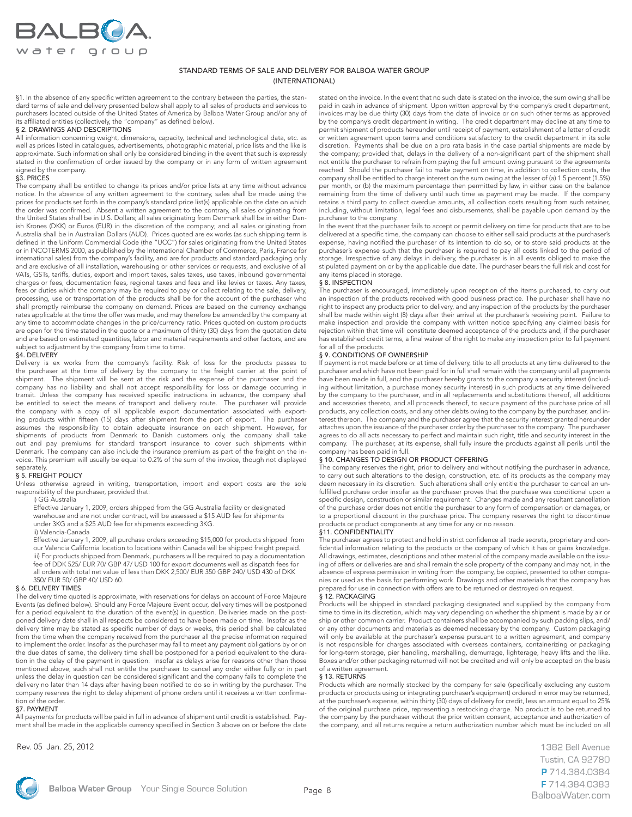

#### STANDARD TERMS OF SALE AND DELIVERY FOR BALBOA WATER GROUP (INTERNATIONAL)

§1. In the absence of any specific written agreement to the contrary between the parties, the standard terms of sale and delivery presented below shall apply to all sales of products and services to purchasers located outside of the United States of America by Balboa Water Group and/or any of its affiliated entities (collectively, the "company" as defined below).

#### § 2. DRAWINGS AND DESCRIPTIONS

All information concerning weight, dimensions, capacity, technical and technological data, etc. as well as prices listed in catalogues, advertisements, photographic material, price lists and the like is approximate. Such information shall only be considered binding in the event that such is expressly stated in the confirmation of order issued by the company or in any form of written agreement signed by the company.

#### §3. PRICES

The company shall be entitled to change its prices and/or price lists at any time without advance notice. In the absence of any written agreement to the contrary, sales shall be made using the prices for products set forth in the company's standard price list(s) applicable on the date on which the order was confirmed. Absent a written agreement to the contrary, all sales originating from the United States shall be in U.S. Dollars; all sales originating from Denmark shall be in either Danish Krones (DKK) or Euros (EUR) in the discretion of the company; and all sales originating from Australia shall be in Australian Dollars (AUD). Prices quoted are ex works (as such shipping term is defined in the Uniform Commercial Code (the "UCC") for sales originating from the United States or in INCOTERMS 2000, as published by the International Chamber of Commerce, Paris, France for international sales) from the company's facility, and are for products and standard packaging only and are exclusive of all installation, warehousing or other services or requests, and exclusive of all VATs, GSTs, tariffs, duties, export and import taxes, sales taxes, use taxes, inbound governmental charges or fees, documentation fees, regional taxes and fees and like levies or taxes. Any taxes, fees or duties which the company may be required to pay or collect relating to the sale, delivery, processing, use or transportation of the products shall be for the account of the purchaser who shall promptly reimburse the company on demand. Prices are based on the currency exchange rates applicable at the time the offer was made, and may therefore be amended by the company at any time to accommodate changes in the price/currency ratio. Prices quoted on custom products are open for the time stated in the quote or a maximum of thirty (30) days from the quotation date and are based on estimated quantities, labor and material requirements and other factors, and are subject to adjustment by the company from time to time.

#### §4. DELIVERY

Delivery is ex works from the company's facility. Risk of loss for the products passes to the purchaser at the time of delivery by the company to the freight carrier at the point of shipment. The shipment will be sent at the risk and the expense of the purchaser and the company has no liability and shall not accept responsibility for loss or damage occurring in transit. Unless the company has received specific instructions in advance, the company shall be entitled to select the means of transport and delivery route. The purchaser will provide the company with a copy of all applicable export documentation associated with exporting products within fifteen (15) days after shipment from the port of export. The purchaser assumes the responsibility to obtain adequate insurance on each shipment. However, for shipments of products from Denmark to Danish customers only, the company shall take out and pay premiums for standard transport insurance to cover such shipments within Denmark. The company can also include the insurance premium as part of the freight on the invoice. This premium will usually be equal to 0.2% of the sum of the invoice, though not displayed separately.

#### § 5. FREIGHT POLICY

Unless otherwise agreed in writing, transportation, import and export costs are the sole responsibility of the purchaser, provided that:

#### i) GG Australia

 Effective January 1, 2009, orders shipped from the GG Australia facility or designated warehouse and are not under contract, will be assessed a \$15 AUD fee for shipments under 3KG and a \$25 AUD fee for shipments exceeding 3KG.

ii) Valencia-Canada

 Effective January 1, 2009, all purchase orders exceeding \$15,000 for products shipped from our Valencia California location to locations within Canada will be shipped freight prepaid. iii) For products shipped from Denmark, purchasers will be required to pay a documentation fee of DDK 525/ EUR 70/ GBP 47/ USD 100 for export documents well as dispatch fees for all orders with total net value of less than DKK 2,500/ EUR 350 GBP 240/ USD 430 of DKK 350/ EUR 50/ GBP 40/ USD 60.

#### § 6. DELIVERY TIMES

The delivery time quoted is approximate, with reservations for delays on account of Force Majeure Events (as defined below). Should any Force Majeure Event occur, delivery times will be postponed for a period equivalent to the duration of the event(s) in question. Deliveries made on the postponed delivery date shall in all respects be considered to have been made on time. Insofar as the delivery time may be stated as specific number of days or weeks, this period shall be calculated from the time when the company received from the purchaser all the precise information required to implement the order. Insofar as the purchaser may fail to meet any payment obligations by or on the due dates of same, the delivery time shall be postponed for a period equivalent to the duration in the delay of the payment in question. Insofar as delays arise for reasons other than those mentioned above, such shall not entitle the purchaser to cancel any order either fully or in part unless the delay in question can be considered significant and the company fails to complete the delivery no later than 14 days after having been notified to do so in writing by the purchaser. The company reserves the right to delay shipment of phone orders until it receives a written confirmation of the order.

#### §7. PAYMENT

All payments for products will be paid in full in advance of shipment until credit is established. Payment shall be made in the applicable currency specified in Section 3 above on or before the date

Rev. 05 Jan. 25, 2012

stated on the invoice. In the event that no such date is stated on the invoice, the sum owing shall be paid in cash in advance of shipment. Upon written approval by the company's credit department, invoices may be due thirty (30) days from the date of invoice or on such other terms as approved by the company's credit department in writing. The credit department may decline at any time to permit shipment of products hereunder until receipt of payment, establishment of a letter of credit or written agreement upon terms and conditions satisfactory to the credit department in its sole discretion. Payments shall be due on a pro rata basis in the case partial shipments are made by the company; provided that, delays in the delivery of a non-significant part of the shipment shall not entitle the purchaser to refrain from paying the full amount owing pursuant to the agreements reached. Should the purchaser fail to make payment on time, in addition to collection costs, the company shall be entitled to charge interest on the sum owing at the lesser of (a) 1.5 percent (1.5%) per month, or (b) the maximum percentage then permitted by law, in either case on the balance remaining from the time of delivery until such time as payment may be made. If the company retains a third party to collect overdue amounts, all collection costs resulting from such retainer, including, without limitation, legal fees and disbursements, shall be payable upon demand by the purchaser to the company.

In the event that the purchaser fails to accept or permit delivery on time for products that are to be delivered at a specific time, the company can choose to either sell said products at the purchaser's expense, having notified the purchaser of its intention to do so, or to store said products at the purchaser's expense such that the purchaser is required to pay all costs linked to the period of storage. Irrespective of any delays in delivery, the purchaser is in all events obliged to make the stipulated payment on or by the applicable due date. The purchaser bears the full risk and cost for any items placed in storage.

#### § 8. INSPECTION

The purchaser is encouraged, immediately upon reception of the items purchased, to carry out an inspection of the products received with good business practice. The purchaser shall have no right to inspect any products prior to delivery, and any inspection of the products by the purchaser shall be made within eight (8) days after their arrival at the purchaser's receiving point. Failure to make inspection and provide the company with written notice specifying any claimed basis for rejection within that time will constitute deemed acceptance of the products and, if the purchaser has established credit terms, a final waiver of the right to make any inspection prior to full payment for all of the products.

#### § 9. CONDITIONS OF OWNERSHIP

If payment is not made before or at time of delivery, title to all products at any time delivered to the purchaser and which have not been paid for in full shall remain with the company until all payments .<br>have been made in full, and the purchaser hereby grants to the company a security interest (including without limitation, a purchase money security interest) in such products at any time delivered by the company to the purchaser, and in all replacements and substitutions thereof, all additions and accessories thereto, and all proceeds thereof, to secure payment of the purchase price of all products, any collection costs, and any other debts owing to the company by the purchaser, and interest thereon. The company and the purchaser agree that the security interest granted hereunder attaches upon the issuance of the purchaser order by the purchaser to the company. The purchaser agrees to do all acts necessary to perfect and maintain such right, title and security interest in the company. The purchaser, at its expense, shall fully insure the products against all perils until the company has been paid in full.

#### § 10. CHANGES TO DESIGN OR PRODUCT OFFERING

The company reserves the right, prior to delivery and without notifying the purchaser in advance, to carry out such alterations to the design, construction, etc. of its products as the company may deem necessary in its discretion. Such alterations shall only entitle the purchaser to cancel an unfulfilled purchase order insofar as the purchaser proves that the purchase was conditional upon a specific design, construction or similar requirement. Changes made and any resultant cancellation of the purchase order does not entitle the purchaser to any form of compensation or damages, or to a proportional discount in the purchase price. The company reserves the right to discontinue products or product components at any time for any or no reason.

#### §11. CONFIDENTIALITY

The purchaser agrees to protect and hold in strict confidence all trade secrets, proprietary and confidential information relating to the products or the company of which it has or gains knowledge. All drawings, estimates, descriptions and other material of the company made available on the issuing of offers or deliveries are and shall remain the sole property of the company and may not, in the absence of express permission in writing from the company, be copied, presented to other companies or used as the basis for performing work. Drawings and other materials that the company has prepared for use in connection with offers are to be returned or destroyed on request.

#### § 12. PACKAGING

Products will be shipped in standard packaging designated and supplied by the company from time to time in its discretion, which may vary depending on whether the shipment is made by air or ship or other common carrier. Product containers shall be accompanied by such packing slips, and/ or any other documents and materials as deemed necessary by the company. Custom packaging will only be available at the purchaser's expense pursuant to a written agreement, and company is not responsible for charges associated with overseas containers, containerizing or packaging for long-term storage, pier handling, marshalling, demurrage, lighterage, heavy lifts and the like. Boxes and/or other packaging returned will not be credited and will only be accepted on the basis of a written agreement.

#### § 13. RETURNS

Products which are normally stocked by the company for sale (specifically excluding any custom products or products using or integrating purchaser's equipment) ordered in error may be returned, at the purchaser's expense, within thirty (30) days of delivery for credit, less an amount equal to 25% of the original purchase price, representing a restocking charge. No product is to be returned to the company by the purchaser without the prior written consent, acceptance and authorization of the company, and all returns require a return authorization number which must be included on all

> 1382 Bell Avenue Tustin, CA 92780 P714.384.0384 F714,384,0383 BalboaWater.com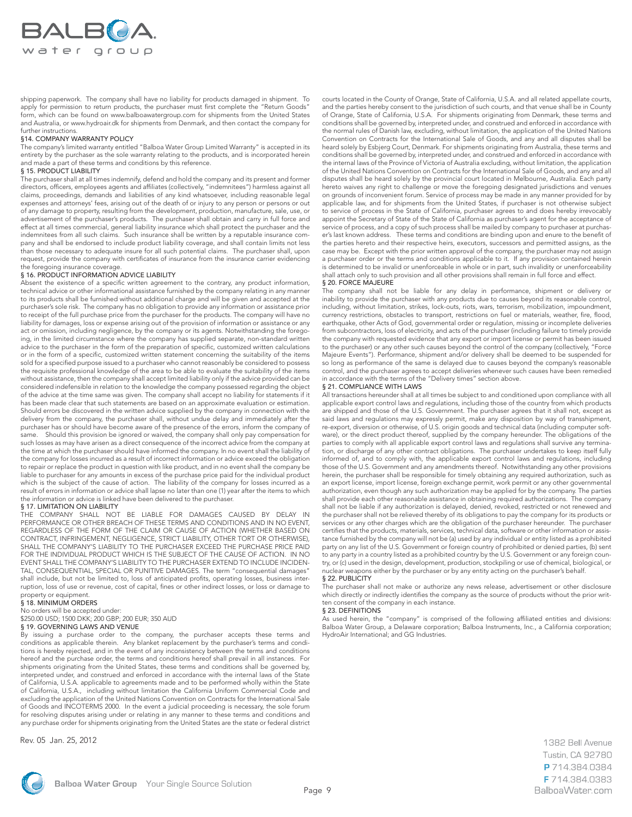

shipping paperwork. The company shall have no liability for products damaged in shipment. To apply for permission to return products, the purchaser must first complete the "Return Goods" form, which can be found on www.balboawatergroup.com for shipments from the United States and Australia, or www.hydroair.dk for shipments from Denmark, and then contact the company for further instructions.

#### §14. COMPANY WARRANTY POLICY

The company's limited warranty entitled "Balboa Water Group Limited Warranty" is accepted in its entirety by the purchaser as the sole warranty relating to the products, and is incorporated herein and made a part of these terms and conditions by this reference.

#### § 15. PRODUCT LIABILITY

The purchaser shall at all times indemnify, defend and hold the company and its present and former directors, officers, employees agents and affiliates (collectively, "indemnitees") harmless against all claims, proceedings, demands and liabilities of any kind whatsoever, including reasonable legal expenses and attorneys' fees, arising out of the death of or injury to any person or persons or out of any damage to property, resulting from the development, production, manufacture, sale, use, or advertisement of the purchaser's products. The purchaser shall obtain and carry in full force and effect at all times commercial, general liability insurance which shall protect the purchaser and the indemnitees from all such claims. Such insurance shall be written by a reputable insurance company and shall be endorsed to include product liability coverage, and shall contain limits not less than those necessary to adequate insure for all such potential claims. The purchaser shall, upon request, provide the company with certificates of insurance from the insurance carrier evidencing the foregoing insurance coverage.

#### § 16. PRODUCT INFORMATION ADVICE LIABILITY

Absent the existence of a specific written agreement to the contrary, any product information, technical advice or other informational assistance furnished by the company relating in any manner to its products shall be furnished without additional charge and will be given and accepted at the purchaser's sole risk. The company has no obligation to provide any information or assistance prior to receipt of the full purchase price from the purchaser for the products. The company will have no liability for damages, loss or expense arising out of the provision of information or assistance or any act or omission, including negligence, by the company or its agents. Notwithstanding the foregoing, in the limited circumstance where the company has supplied separate, non-standard written advice to the purchaser in the form of the preparation of specific, customized written calculations or in the form of a specific, customized written statement concerning the suitability of the items sold for a specified purpose issued to a purchaser who cannot reasonably be considered to possess the requisite professional knowledge of the area to be able to evaluate the suitability of the items without assistance, then the company shall accept limited liability only if the advice provided can be considered indefensible in relation to the knowledge the company possessed regarding the object of the advice at the time same was given. The company shall accept no liability for statements if it has been made clear that such statements are based on an approximate evaluation or estimation. Should errors be discovered in the written advice supplied by the company in connection with the delivery from the company, the purchaser shall, without undue delay and immediately after the purchaser has or should have become aware of the presence of the errors, inform the company of same. Should this provision be ignored or waived, the company shall only pay compensation for such losses as may have arisen as a direct consequence of the incorrect advice from the company at the time at which the purchaser should have informed the company. In no event shall the liability of the company for losses incurred as a result of incorrect information or advice exceed the obligation to repair or replace the product in question with like product, and in no event shall the company be liable to purchaser for any amounts in excess of the purchase price paid for the individual product which is the subject of the cause of action. The liability of the company for losses incurred as a result of errors in information or advice shall lapse no later than one (1) year after the items to which the information or advice is linked have been delivered to the purchaser.

#### § 17. LIMITATION ON LIABILITY

THE COMPANY SHALL NOT BE LIABLE FOR DAMAGES CAUSED BY DELAY IN PERFORMANCE OR OTHER BREACH OF THESE TERMS AND CONDITIONS AND IN NO EVENT, REGARDLESS OF THE FORM OF THE CLAIM OR CAUSE OF ACTION (WHETHER BASED ON CONTRACT, INFRINGEMENT, NEGLIGENCE, STRICT LIABILITY, OTHER TORT OR OTHERWISE), SHALL THE COMPANY'S LIABILITY TO THE PURCHASER EXCEED THE PURCHASE PRICE PAID FOR THE INDIVIDUAL PRODUCT WHICH IS THE SUBJECT OF THE CAUSE OF ACTION. IN NO EVENT SHALL THE COMPANY'S LIABILITY TO THE PURCHASER EXTEND TO INCLUDE INCIDEN-TAL, CONSEQUENTIAL, SPECIAL OR PUNITIVE DAMAGES. The term "consequential damages" shall include, but not be limited to, loss of anticipated profits, operating losses, business interruption, loss of use or revenue, cost of capital, fines or other indirect losses, or loss or damage to property or equipment.

#### § 18. MINIMUM ORDERS

No orders will be accepted under:

#### \$250.00 USD; 1500 DKK; 200 GBP; 200 EUR; 350 AUD § 19. GOVERNING LAWS AND VENUE

By issuing a purchase order to the company, the purchaser accepts these terms and conditions as applicable therein. Any blanket replacement by the purchaser's terms and conditions is hereby rejected, and in the event of any inconsistency between the terms and conditions hereof and the purchase order, the terms and conditions hereof shall prevail in all instances. For shipments originating from the United States, these terms and conditions shall be governed by, interpreted under, and construed and enforced in accordance with the internal laws of the State of California, U.S.A. applicable to agreements made and to be performed wholly within the State of California, U.S.A., including without limitation the California Uniform Commercial Code and excluding the application of the United Nations Convention on Contracts for the International Sale of Goods and INCOTERMS 2000. In the event a judicial proceeding is necessary, the sole forum for resolving disputes arising under or relating in any manner to these terms and conditions and any purchase order for shipments originating from the United States are the state or federal district

Rev. 05 Jan. 25, 2012

courts located in the County of Orange, State of California, U.S.A. and all related appellate courts, and the parties hereby consent to the jurisdiction of such courts, and that venue shall be in County of Orange, State of California, U.S.A. For shipments originating from Denmark, these terms and conditions shall be governed by, interpreted under, and construed and enforced in accordance with the normal rules of Danish law, excluding, without limitation, the application of the United Nations Convention on Contracts for the International Sale of Goods, and any and all disputes shall be heard solely by Esbjerg Court, Denmark. For shipments originating from Australia, these terms and conditions shall be governed by, interpreted under, and construed and enforced in accordance with the internal laws of the Province of Victoria of Australia excluding, without limitation, the application of the United Nations Convention on Contracts for the International Sale of Goods, and any and all disputes shall be heard solely by the provincial court located in Melbourne, Australia. Each party hereto waives any right to challenge or move the foregoing designated jurisdictions and venues on grounds of inconvenient forum. Service of process may be made in any manner provided for by applicable law, and for shipments from the United States, if purchaser is not otherwise subject to service of process in the State of California, purchaser agrees to and does hereby irrevocably appoint the Secretary of State of the State of California as purchaser's agent for the acceptance of service of process, and a copy of such process shall be mailed by company to purchaser at purchaser's last known address. These terms and conditions are binding upon and enure to the benefit of the parties hereto and their respective heirs, executors, successors and permitted assigns, as the case may be. Except with the prior written approval of the company, the purchaser may not assign a purchaser order or the terms and conditions applicable to it. If any provision contained herein is determined to be invalid or unenforceable in whole or in part, such invalidity or unenforceability shall attach only to such provision and all other provisions shall remain in full force and effect.

#### § 20. FORCE MAJEURE

The company shall not be liable for any delay in performance, shipment or delivery or inability to provide the purchaser with any products due to causes beyond its reasonable control, including, without limitation, strikes, lock-outs, riots, wars, terrorism, mobilization, impoundment, currency restrictions, obstacles to transport, restrictions on fuel or materials, weather, fire, flood, earthquake, other Acts of God, governmental order or regulation, missing or incomplete deliveries from subcontractors, loss of electricity, and acts of the purchaser (including failure to timely provide the company with requested evidence that any export or import license or permit has been issued to the purchaser) or any other such causes beyond the control of the company (collectively, "Force Majeure Events"). Performance, shipment and/or delivery shall be deemed to be suspended for so long as performance of the same is delayed due to causes beyond the company's reasonable control, and the purchaser agrees to accept deliveries whenever such causes have been remedied in accordance with the terms of the "Delivery times" section above.

#### § 21. COMPLIANCE WITH LAWS

All transactions hereunder shall at all times be subject to and conditioned upon compliance with all applicable export control laws and regulations, including those of the country from which products are shipped and those of the U.S. Government. The purchaser agrees that it shall not, except as said laws and regulations may expressly permit, make any disposition by way of transshipment, re-export, diversion or otherwise, of U.S. origin goods and technical data (including computer software), or the direct product thereof, supplied by the company hereunder. The obligations of the parties to comply with all applicable export control laws and regulations shall survive any termination, or discharge of any other contract obligations. The purchaser undertakes to keep itself fully informed of, and to comply with, the applicable export control laws and regulations, including those of the U.S. Government and any amendments thereof. Notwithstanding any other provisions herein, the purchaser shall be responsible for timely obtaining any required authorization, such as an export license, import license, foreign exchange permit, work permit or any other governmental authorization, even though any such authorization may be applied for by the company. The parties shall provide each other reasonable assistance in obtaining required authorizations. The company shall not be liable if any authorization is delayed, denied, revoked, restricted or not renewed and the purchaser shall not be relieved thereby of its obligations to pay the company for its products or services or any other charges which are the obligation of the purchaser hereunder. The purchaser certifies that the products, materials, services, technical data, software or other information or assistance furnished by the company will not be (a) used by any individual or entity listed as a prohibited party on any list of the U.S. Government or foreign country of prohibited or denied parties, (b) sent to any party in a country listed as a prohibited country by the U.S. Government or any foreign country, or (c) used in the design, development, production, stockpiling or use of chemical, biological, or nuclear weapons either by the purchaser or by any entity acting on the purchaser's behalf. § 22. PUBLICITY

The purchaser shall not make or authorize any news release, advertisement or other disclosure which directly or indirectly identifies the company as the source of products without the prior written consent of the company in each instance.

#### § 23. DEFINITIONS

As used herein, the "company" is comprised of the following affiliated entities and divisions: Balboa Water Group, a Delaware corporation; Balboa Instruments, Inc., a California corporation; HydroAir International; and GG Industries.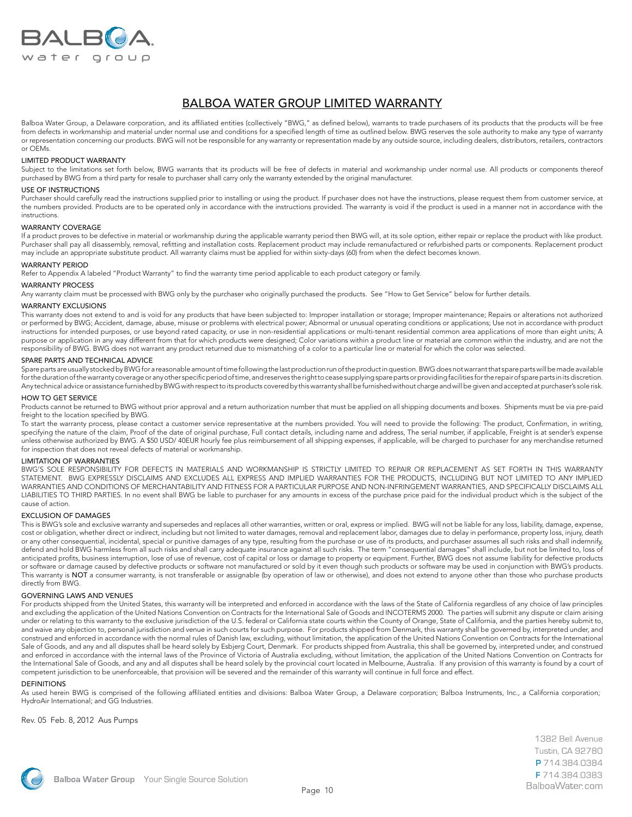

## BALBOA WATER GROUP LIMITED WARRANTY

Balboa Water Group, a Delaware corporation, and its affiliated entities (collectively "BWG," as defined below), warrants to trade purchasers of its products that the products will be free from defects in workmanship and material under normal use and conditions for a specified length of time as outlined below. BWG reserves the sole authority to make any type of warranty or representation concerning our products. BWG will not be responsible for any warranty or representation made by any outside source, including dealers, distributors, retailers, contractors or OEMs.

#### LIMITED PRODUCT WARRANTY

Subject to the limitations set forth below, BWG warrants that its products will be free of defects in material and workmanship under normal use. All products or components thereof purchased by BWG from a third party for resale to purchaser shall carry only the warranty extended by the original manufacturer.

#### USE OF INSTRUCTIONS

Purchaser should carefully read the instructions supplied prior to installing or using the product. If purchaser does not have the instructions, please request them from customer service, at the numbers provided. Products are to be operated only in accordance with the instructions provided. The warranty is void if the product is used in a manner not in accordance with the instructions.

#### WARRANTY COVERAGE

If a product proves to be defective in material or workmanship during the applicable warranty period then BWG will, at its sole option, either repair or replace the product with like product. Purchaser shall pay all disassembly, removal, refitting and installation costs. Replacement product may include remanufactured or refurbished parts or components. Replacement product may include an appropriate substitute product. All warranty claims must be applied for within sixty-days (60) from when the defect becomes known.

#### WARRANTY PERIOD

Refer to Appendix A labeled "Product Warranty" to find the warranty time period applicable to each product category or family.

#### WARRANTY PROCESS

Any warranty claim must be processed with BWG only by the purchaser who originally purchased the products. See "How to Get Service" below for further details.

#### WARRANTY EXCLUSIONS

This warranty does not extend to and is void for any products that have been subjected to: Improper installation or storage; Improper maintenance; Repairs or alterations not authorized or performed by BWG; Accident, damage, abuse, misuse or problems with electrical power; Abnormal or unusual operating conditions or applications; Use not in accordance with product instructions for intended purposes, or use beyond rated capacity, or use in non-residential applications or multi-tenant residential common area applications of more than eight units; A purpose or application in any way different from that for which products were designed; Color variations within a product line or material are common within the industry, and are not the responsibility of BWG. BWG does not warrant any product returned due to mismatching of a color to a particular line or material for which the color was selected.

#### SPARE PARTS AND TECHNICAL ADVICE

Spare parts are usually stocked by BWG for a reasonable amount of time following the last production run of the product in question. BWG does not warrant that spare parts will be made available for the duration of the warranty coverage or any other specific period of time, and reserves the right to cease supplying spare parts or providing facilities for the repair of spare parts in its discretion. Any technical advice or assistance furnished by BWG with respect to its products covered by this warranty shall be furnished without charge and will be given and accepted at purchaser's sole risk.

#### HOW TO GET SERVICE

Products cannot be returned to BWG without prior approval and a return authorization number that must be applied on all shipping documents and boxes. Shipments must be via pre-paid freight to the location specified by BWG.

To start the warranty process, please contact a customer service representative at the numbers provided. You will need to provide the following: The product, Confirmation, in writing, specifying the nature of the claim, Proof of the date of original purchase, Full contact details, including name and address, The serial number, if applicable, Freight is at sender's expense unless otherwise authorized by BWG. A \$50 USD/ 40EUR hourly fee plus reimbursement of all shipping expenses, if applicable, will be charged to purchaser for any merchandise returned for inspection that does not reveal defects of material or workmanship.

#### LIMITATION OF WARRANTIES

BWG'S SOLE RESPONSIBILITY FOR DEFECTS IN MATERIALS AND WORKMANSHIP IS STRICTLY LIMITED TO REPAIR OR REPLACEMENT AS SET FORTH IN THIS WARRANTY STATEMENT. BWG EXPRESSLY DISCLAIMS AND EXCLUDES ALL EXPRESS AND IMPLIED WARRANTIES FOR THE PRODUCTS, INCLUDING BUT NOT LIMITED TO ANY IMPLIED WARRANTIES AND CONDITIONS OF MERCHANTABILITY AND FITNESS FOR A PARTICULAR PURPOSE AND NON-INFRINGEMENT WARRANTIES, AND SPECIFICALLY DISCLAIMS ALL LIABILITIES TO THIRD PARTIES. In no event shall BWG be liable to purchaser for any amounts in excess of the purchase price paid for the individual product which is the subject of the cause of action.

#### EXCLUSION OF DAMAGES

This is BWG's sole and exclusive warranty and supersedes and replaces all other warranties, written or oral, express or implied. BWG will not be liable for any loss, liability, damage, expense, cost or obligation, whether direct or indirect, including but not limited to water damages, removal and replacement labor, damages due to delay in performance, property loss, injury, death or any other consequential, incidental, special or punitive damages of any type, resulting from the purchase or use of its products, and purchaser assumes all such risks and shall indemnify, defend and hold BWG harmless from all such risks and shall carry adequate insurance against all such risks. The term "consequential damages" shall include, but not be limited to, loss of anticipated profits, business interruption, lose of use of revenue, cost of capital or loss or damage to property or equipment. Further, BWG does not assume liability for defective products or software or damage caused by defective products or software not manufactured or sold by it even though such products or software may be used in conjunction with BWG's products. This warranty is NOT a consumer warranty, is not transferable or assignable (by operation of law or otherwise), and does not extend to anyone other than those who purchase products directly from BWG.

#### GOVERNING LAWS AND VENUES

For products shipped from the United States, this warranty will be interpreted and enforced in accordance with the laws of the State of California regardless of any choice of law principles and excluding the application of the United Nations Convention on Contracts for the International Sale of Goods and INCOTERMS 2000. The parties will submit any dispute or claim arising under or relating to this warranty to the exclusive jurisdiction of the U.S. federal or California state courts within the County of Orange, State of California, and the parties hereby submit to, and waive any objection to, personal jurisdiction and venue in such courts for such purpose. For products shipped from Denmark, this warranty shall be governed by, interpreted under, and construed and enforced in accordance with the normal rules of Danish law, excluding, without limitation, the application of the United Nations Convention on Contracts for the International Sale of Goods, and any and all disputes shall be heard solely by Esbjerg Court, Denmark. For products shipped from Australia, this shall be governed by, interpreted under, and construed and enforced in accordance with the internal laws of the Province of Victoria of Australia excluding, without limitation, the application of the United Nations Convention on Contracts for the International Sale of Goods, and any and all disputes shall be heard solely by the provincial court located in Melbourne, Australia. If any provision of this warranty is found by a court of competent jurisdiction to be unenforceable, that provision will be severed and the remainder of this warranty will continue in full force and effect.

#### DEFINITIONS

As used herein BWG is comprised of the following affiliated entities and divisions: Balboa Water Group, a Delaware corporation; Balboa Instruments, Inc., a California corporation; HydroAir International; and GG Industries.

Rev. 05 Feb. 8, 2012 Aus Pumps

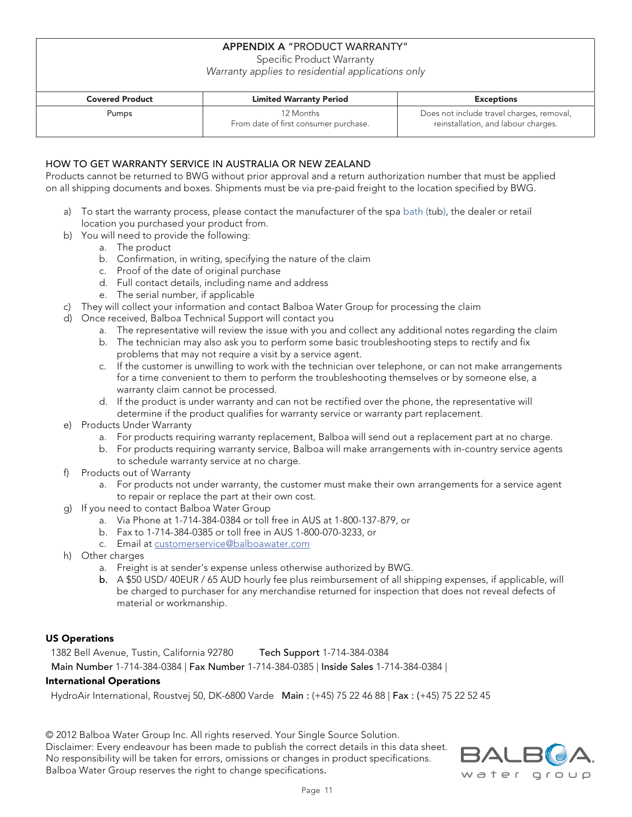### **APPENDIX A** "PRODUCT WARRANTY"

Specific Product Warranty

Warranty applies to residential applications only

| <b>Covered Product</b> | <b>Limited Warranty Period</b>                     | <b>Exceptions</b>                                                                |  |  |
|------------------------|----------------------------------------------------|----------------------------------------------------------------------------------|--|--|
| Pumps                  | 12 Months<br>From date of first consumer purchase. | Does not include travel charges, removal,<br>reinstallation, and labour charges. |  |  |

### HOW TO GET WARRANTY SERVICE IN AUSTRALIA OR NEW ZEALAND

Products cannot be returned to BWG without prior approval and a return authorization number that must be applied on all shipping documents and boxes. Shipments must be via pre-paid freight to the location specified by BWG.

- a) To start the warranty process, please contact the manufacturer of the spa bath (tub), the dealer or retail location you purchased your product from.
- b) You will need to provide the following:
	- a. The product
	- b. Confirmation, in writing, specifying the nature of the claim
	- c. Proof of the date of original purchase
	- d. Full contact details, including name and address
	- e. The serial number, if applicable
- c) They will collect your information and contact Balboa Water Group for processing the claim
- d) Once received, Balboa Technical Support will contact you
	- a. The representative will review the issue with you and collect any additional notes regarding the claim
	- b. The technician may also ask you to perform some basic troubleshooting steps to rectify and fix problems that may not require a visit by a service agent.
	- c. If the customer is unwilling to work with the technician over telephone, or can not make arrangements for a time convenient to them to perform the troubleshooting themselves or by someone else, a warranty claim cannot be processed.
	- d. If the product is under warranty and can not be rectified over the phone, the representative will determine if the product qualifies for warranty service or warranty part replacement.
- e) Products Under Warranty
	- a. For products requiring warranty replacement, Balboa will send out a replacement part at no charge.
	- b. For products requiring warranty service, Balboa will make arrangements with in-country service agents to schedule warranty service at no charge.
- f) Products out of Warranty
	- a. For products not under warranty, the customer must make their own arrangements for a service agent to repair or replace the part at their own cost.
- g) If you need to contact Balboa Water Group
	- a. Via Phone at 1-714-384-0384 or toll free in AUS at 1-800-137-879, or
	- b. Fax to 1-714-384-0385 or toll free in AUS 1-800-070-3233, or
	- c. Email at customerservice@balboawater.com
- h) Other charges
	- a. Freight is at sender's expense unless otherwise authorized by BWG.
	- b. A \$50 USD/ 40EUR / 65 AUD hourly fee plus reimbursement of all shipping expenses, if applicable, will be charged to purchaser for any merchandise returned for inspection that does not reveal defects of material or workmanship.

### US Operations

 1382 Bell Avenue, Tustin, California 92780 Tech Support 1-714-384-0384 Main Number 1-714-384-0384 | Fax Number 1-714-384-0385 | Inside Sales 1-714-384-0384 |

### International Operations

HydroAir International, Roustvej 50, DK-6800 Varde Main : (+45) 75 22 46 88 | Fax : (+45) 75 22 52 45

© 2012 Balboa Water Group Inc. All rights reserved. Your Single Source Solution. Disclaimer: Every endeavour has been made to publish the correct details in this data sheet. No responsibility will be taken for errors, omissions or changes in product specifications. Balboa Water Group reserves the right to change specifications.